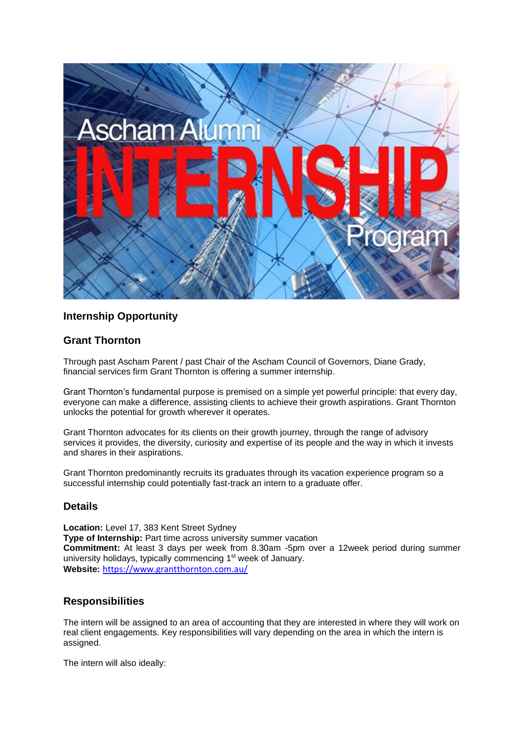

# **Internship Opportunity**

# **Grant Thornton**

Through past Ascham Parent / past Chair of the Ascham Council of Governors, Diane Grady, financial services firm Grant Thornton is offering a summer internship.

Grant Thornton's fundamental purpose is premised on a simple yet powerful principle: that every day, everyone can make a difference, assisting clients to achieve their growth aspirations. Grant Thornton unlocks the potential for growth wherever it operates.

Grant Thornton advocates for its clients on their growth journey, through the range of advisory services it provides, the diversity, curiosity and expertise of its people and the way in which it invests and shares in their aspirations.

Grant Thornton predominantly recruits its graduates through its vacation experience program so a successful internship could potentially fast-track an intern to a graduate offer.

#### **Details**

**Location:** Level 17, 383 Kent Street Sydney **Type of Internship:** Part time across university summer vacation **Commitment:** At least 3 days per week from 8.30am -5pm over a 12week period during summer university holidays, typically commencing 1<sup>st</sup> week of January. **Website:** <https://www.grantthornton.com.au/>

# **Responsibilities**

The intern will be assigned to an area of accounting that they are interested in where they will work on real client engagements. Key responsibilities will vary depending on the area in which the intern is assigned.

The intern will also ideally: